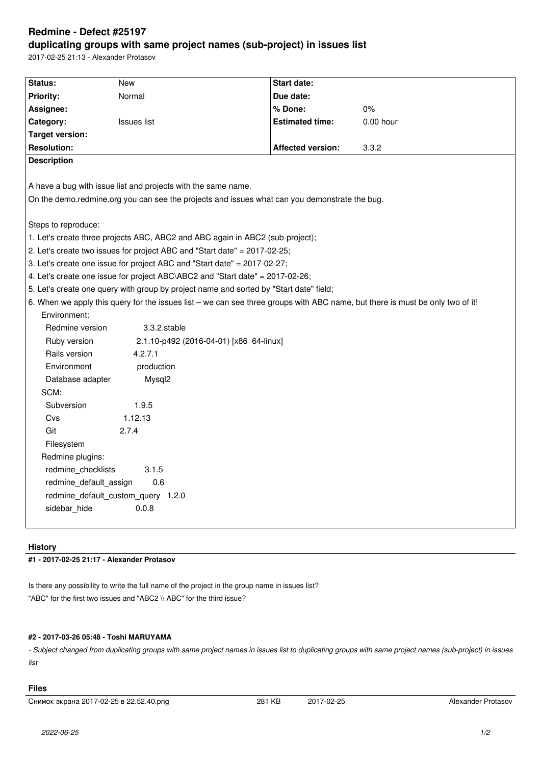# **Redmine - Defect #25197 duplicating groups with same project names (sub-project) in issues list**

2017-02-25 21:13 - Alexander Protasov

| Status:                                                                                       | <b>New</b>                                                                                                                    | Start date:              |           |  |  |
|-----------------------------------------------------------------------------------------------|-------------------------------------------------------------------------------------------------------------------------------|--------------------------|-----------|--|--|
| <b>Priority:</b>                                                                              | Normal                                                                                                                        | Due date:                |           |  |  |
| Assignee:                                                                                     |                                                                                                                               | % Done:                  | 0%        |  |  |
| Category:                                                                                     | <b>Issues list</b>                                                                                                            | <b>Estimated time:</b>   | 0.00 hour |  |  |
| <b>Target version:</b>                                                                        |                                                                                                                               |                          |           |  |  |
| <b>Resolution:</b>                                                                            |                                                                                                                               | <b>Affected version:</b> | 3.3.2     |  |  |
| <b>Description</b>                                                                            |                                                                                                                               |                          |           |  |  |
|                                                                                               |                                                                                                                               |                          |           |  |  |
| A have a bug with issue list and projects with the same name.                                 |                                                                                                                               |                          |           |  |  |
| On the demo.redmine.org you can see the projects and issues what can you demonstrate the bug. |                                                                                                                               |                          |           |  |  |
|                                                                                               |                                                                                                                               |                          |           |  |  |
| Steps to reproduce:                                                                           |                                                                                                                               |                          |           |  |  |
| 1. Let's create three projects ABC, ABC2 and ABC again in ABC2 (sub-project);                 |                                                                                                                               |                          |           |  |  |
| 2. Let's create two issues for project ABC and "Start date" = 2017-02-25;                     |                                                                                                                               |                          |           |  |  |
| 3. Let's create one issue for project ABC and "Start date" = 2017-02-27;                      |                                                                                                                               |                          |           |  |  |
| 4. Let's create one issue for project ABC\ABC2 and "Start date" = 2017-02-26;                 |                                                                                                                               |                          |           |  |  |
| 5. Let's create one query with group by project name and sorted by "Start date" field;        |                                                                                                                               |                          |           |  |  |
|                                                                                               | 6. When we apply this query for the issues list – we can see three groups with ABC name, but there is must be only two of it! |                          |           |  |  |
| Environment:                                                                                  |                                                                                                                               |                          |           |  |  |
| Redmine version                                                                               | 3.3.2.stable                                                                                                                  |                          |           |  |  |
| Ruby version                                                                                  | 2.1.10-p492 (2016-04-01) [x86_64-linux]                                                                                       |                          |           |  |  |
| Rails version                                                                                 | 4.2.7.1                                                                                                                       |                          |           |  |  |
| Environment                                                                                   | production                                                                                                                    |                          |           |  |  |
| Database adapter                                                                              | Mysql2                                                                                                                        |                          |           |  |  |
| SCM:                                                                                          |                                                                                                                               |                          |           |  |  |
| Subversion                                                                                    | 1.9.5                                                                                                                         |                          |           |  |  |
| Cvs                                                                                           | 1.12.13                                                                                                                       |                          |           |  |  |
| Git                                                                                           | 2.7.4                                                                                                                         |                          |           |  |  |
| Filesystem                                                                                    |                                                                                                                               |                          |           |  |  |
| Redmine plugins:                                                                              |                                                                                                                               |                          |           |  |  |
| redmine_checklists                                                                            | 3.1.5                                                                                                                         |                          |           |  |  |
| 0.6<br>redmine_default_assign                                                                 |                                                                                                                               |                          |           |  |  |
| redmine default custom query 1.2.0                                                            |                                                                                                                               |                          |           |  |  |
| sidebar hide<br>0.0.8                                                                         |                                                                                                                               |                          |           |  |  |
|                                                                                               |                                                                                                                               |                          |           |  |  |
|                                                                                               |                                                                                                                               |                          |           |  |  |

### **History**

## **#1 - 2017-02-25 21:17 - Alexander Protasov**

Is there any possibility to write the full name of the project in the group name in issues list? "ABC" for the first two issues and "ABC2 \\ ABC" for the third issue?

### **#2 - 2017-03-26 05:48 - Toshi MARUYAMA**

*- Subject changed from duplicating groups with same project names in issues list to duplicating groups with same project names (sub-project) in issues list*

### **Files**

Снимок экрана 2017-02-25 в 22.52.40.png 281 KB 2017-02-25 Alexander Protasov